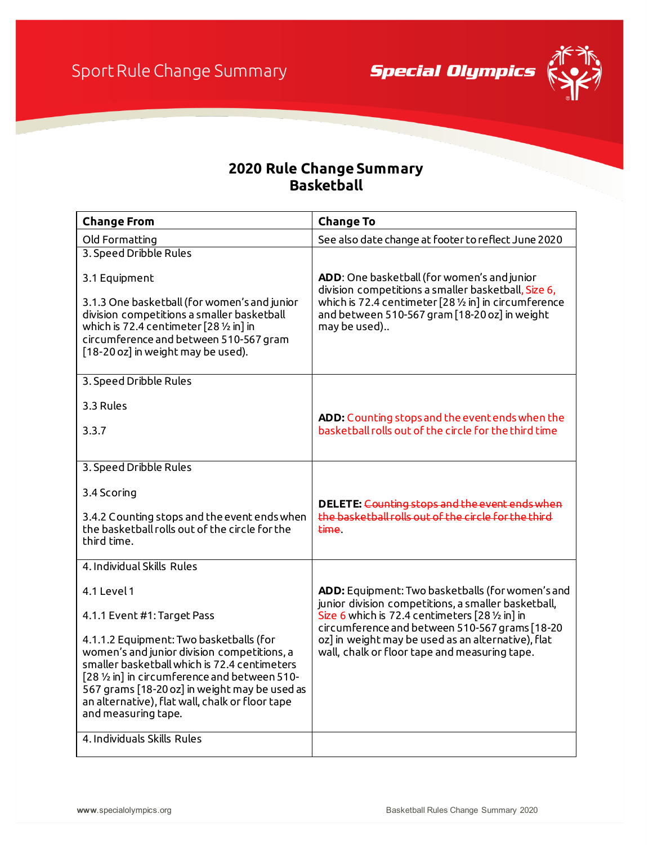**Special Olympics** 



## **2020 Rule Change Summary Basketball**

| <b>Change From</b>                                                                                                                                                                                                                                                                                                 | <b>Change To</b>                                                                                                                                                                                                                        |
|--------------------------------------------------------------------------------------------------------------------------------------------------------------------------------------------------------------------------------------------------------------------------------------------------------------------|-----------------------------------------------------------------------------------------------------------------------------------------------------------------------------------------------------------------------------------------|
| Old Formatting                                                                                                                                                                                                                                                                                                     | See also date change at footer to reflect June 2020                                                                                                                                                                                     |
| 3. Speed Dribble Rules                                                                                                                                                                                                                                                                                             |                                                                                                                                                                                                                                         |
| 3.1 Equipment                                                                                                                                                                                                                                                                                                      | ADD: One basketball (for women's and junior<br>division competitions a smaller basketball, Size 6,<br>which is 72.4 centimeter $[28 \frac{1}{2} \ln]$ in circumference<br>and between 510-567 gram [18-20 oz] in weight<br>may be used) |
| 3.1.3 One basketball (for women's and junior<br>division competitions a smaller basketball<br>which is 72.4 centimeter $[28 \frac{1}{2} \ln \ln \frac{1}{2}$<br>circumference and between 510-567 gram<br>[18-20 oz] in weight may be used).                                                                       |                                                                                                                                                                                                                                         |
| 3. Speed Dribble Rules                                                                                                                                                                                                                                                                                             |                                                                                                                                                                                                                                         |
| 3.3 Rules                                                                                                                                                                                                                                                                                                          | ADD: Counting stops and the event ends when the                                                                                                                                                                                         |
| 3.3.7                                                                                                                                                                                                                                                                                                              | basketball rolls out of the circle for the third time                                                                                                                                                                                   |
|                                                                                                                                                                                                                                                                                                                    |                                                                                                                                                                                                                                         |
| 3. Speed Dribble Rules                                                                                                                                                                                                                                                                                             |                                                                                                                                                                                                                                         |
| 3.4 Scoring                                                                                                                                                                                                                                                                                                        | DELETE: Counting stops and the event ends when                                                                                                                                                                                          |
| 3.4.2 Counting stops and the event ends when<br>the basketball rolls out of the circle for the<br>third time.                                                                                                                                                                                                      | the basketball rolls out of the circle for the third<br>time.                                                                                                                                                                           |
| 4. Individual Skills Rules                                                                                                                                                                                                                                                                                         |                                                                                                                                                                                                                                         |
| 4.1 Level 1                                                                                                                                                                                                                                                                                                        | ADD: Equipment: Two basketballs (for women's and<br>junior division competitions, a smaller basketball,                                                                                                                                 |
| 4.1.1 Event #1: Target Pass                                                                                                                                                                                                                                                                                        | Size 6 which is 72.4 centimeters [28 1/2 in] in                                                                                                                                                                                         |
| 4.1.1.2 Equipment: Two basketballs (for<br>women's and junior division competitions, a<br>smaller basketball which is 72.4 centimeters<br>[28 1/2 in] in circumference and between 510-<br>567 grams [18-20 oz] in weight may be used as<br>an alternative), flat wall, chalk or floor tape<br>and measuring tape. | circumference and between 510-567 grams [18-20<br>oz] in weight may be used as an alternative), flat<br>wall, chalk or floor tape and measuring tape.                                                                                   |
| 4. Individuals Skills Rules                                                                                                                                                                                                                                                                                        |                                                                                                                                                                                                                                         |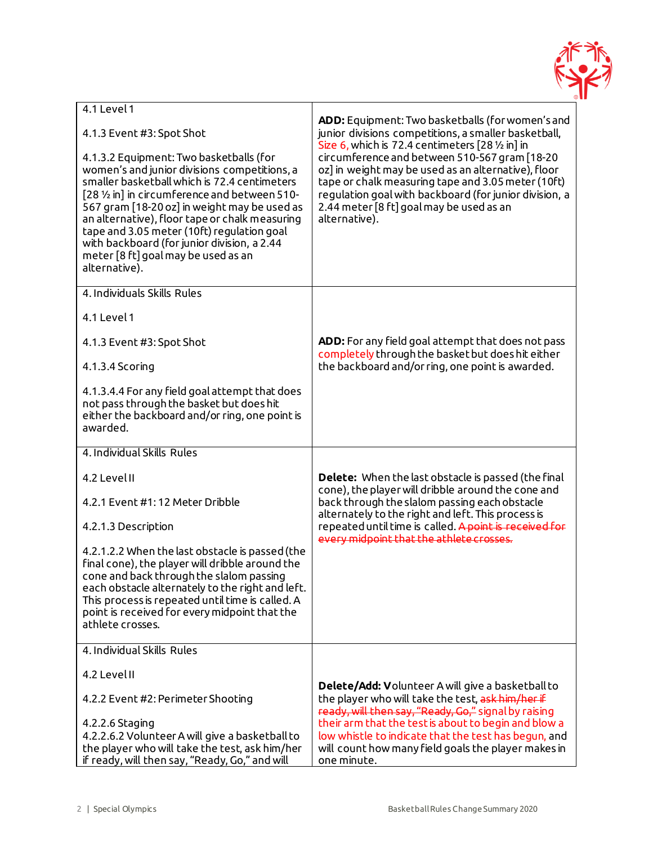

| 4.1 Level 1                                                                                                                                                                                                                                                                                                                                                                                                                                     | ADD: Equipment: Two basketballs (for women's and                                                                                                                                                                                                                                  |
|-------------------------------------------------------------------------------------------------------------------------------------------------------------------------------------------------------------------------------------------------------------------------------------------------------------------------------------------------------------------------------------------------------------------------------------------------|-----------------------------------------------------------------------------------------------------------------------------------------------------------------------------------------------------------------------------------------------------------------------------------|
| 4.1.3 Event #3: Spot Shot                                                                                                                                                                                                                                                                                                                                                                                                                       | junior divisions competitions, a smaller basketball,<br>Size 6, which is 72.4 centimeters $[28 \frac{1}{2} \text{ in}]$ in                                                                                                                                                        |
| 4.1.3.2 Equipment: Two basketballs (for<br>women's and junior divisions competitions, a<br>smaller basketball which is 72.4 centimeters<br>[28 1/2 in] in circumference and between 510-<br>567 gram [18-20 oz] in weight may be used as<br>an alternative), floor tape or chalk measuring<br>tape and 3.05 meter (10ft) regulation goal<br>with backboard (for junior division, a 2.44<br>meter [8 ft] goal may be used as an<br>alternative). | circumference and between 510-567 gram [18-20<br>oz] in weight may be used as an alternative), floor<br>tape or chalk measuring tape and 3.05 meter (10ft)<br>regulation goal with backboard (for junior division, a<br>2.44 meter [8 ft] goal may be used as an<br>alternative). |
| 4. Individuals Skills Rules                                                                                                                                                                                                                                                                                                                                                                                                                     |                                                                                                                                                                                                                                                                                   |
| 4.1 Level 1                                                                                                                                                                                                                                                                                                                                                                                                                                     |                                                                                                                                                                                                                                                                                   |
| 4.1.3 Event #3: Spot Shot                                                                                                                                                                                                                                                                                                                                                                                                                       | ADD: For any field goal attempt that does not pass<br>completely through the basket but does hit either                                                                                                                                                                           |
| 4.1.3.4 Scoring                                                                                                                                                                                                                                                                                                                                                                                                                                 | the backboard and/or ring, one point is awarded.                                                                                                                                                                                                                                  |
| 4.1.3.4.4 For any field goal attempt that does<br>not pass through the basket but does hit<br>either the backboard and/or ring, one point is<br>awarded.                                                                                                                                                                                                                                                                                        |                                                                                                                                                                                                                                                                                   |
| 4. Individual Skills Rules                                                                                                                                                                                                                                                                                                                                                                                                                      |                                                                                                                                                                                                                                                                                   |
| 4.2 Level II                                                                                                                                                                                                                                                                                                                                                                                                                                    | <b>Delete:</b> When the last obstacle is passed (the final<br>cone), the player will dribble around the cone and                                                                                                                                                                  |
| 4.2.1 Event #1:12 Meter Dribble                                                                                                                                                                                                                                                                                                                                                                                                                 | back through the slalom passing each obstacle<br>alternately to the right and left. This process is                                                                                                                                                                               |
| 4.2.1.3 Description                                                                                                                                                                                                                                                                                                                                                                                                                             | repeated until time is called. A point is received for<br>every midpoint that the athlete crosses.                                                                                                                                                                                |
| 4.2.1.2.2 When the last obstacle is passed (the<br>final cone), the player will dribble around the<br>cone and back through the slalom passing<br>each obstacle alternately to the right and left.<br>This process is repeated until time is called. A<br>point is received for every midpoint that the<br>athlete crosses.                                                                                                                     |                                                                                                                                                                                                                                                                                   |
| 4. Individual Skills Rules                                                                                                                                                                                                                                                                                                                                                                                                                      |                                                                                                                                                                                                                                                                                   |
| 4.2 Level II                                                                                                                                                                                                                                                                                                                                                                                                                                    |                                                                                                                                                                                                                                                                                   |
| 4.2.2 Event #2: Perimeter Shooting                                                                                                                                                                                                                                                                                                                                                                                                              | Delete/Add: Volunteer A will give a basketball to<br>the player who will take the test, ask him/her if<br>ready, will then say, "Ready, Go," signal by raising                                                                                                                    |
| 4.2.2.6 Staging<br>4.2.2.6.2 Volunteer A will give a basketball to<br>the player who will take the test, ask him/her<br>if ready, will then say, "Ready, Go," and will                                                                                                                                                                                                                                                                          | their arm that the test is about to begin and blow a<br>low whistle to indicate that the test has begun, and<br>will count how many field goals the player makes in<br>one minute.                                                                                                |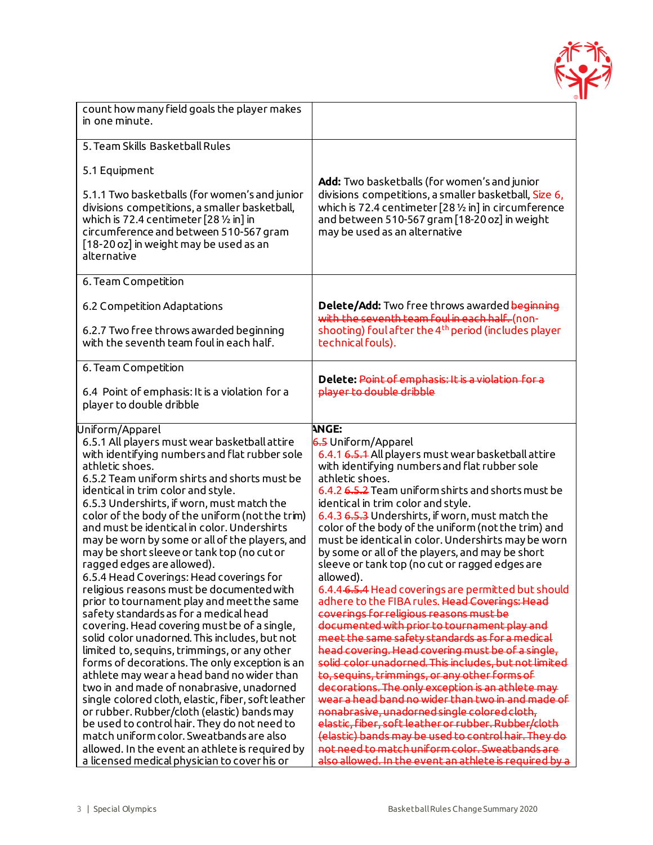

| count how many field goals the player makes<br>in one minute.                                                                                                                                                                                                                                                                                                                                                                                                                                                                                                                                                                                                                                                                                                                                                                                                             |                                                                                                                                                                                                                                                                                                                                                                                                                                                                                                                                                                                                                                                                                                                                                                                                                                                                                                     |
|---------------------------------------------------------------------------------------------------------------------------------------------------------------------------------------------------------------------------------------------------------------------------------------------------------------------------------------------------------------------------------------------------------------------------------------------------------------------------------------------------------------------------------------------------------------------------------------------------------------------------------------------------------------------------------------------------------------------------------------------------------------------------------------------------------------------------------------------------------------------------|-----------------------------------------------------------------------------------------------------------------------------------------------------------------------------------------------------------------------------------------------------------------------------------------------------------------------------------------------------------------------------------------------------------------------------------------------------------------------------------------------------------------------------------------------------------------------------------------------------------------------------------------------------------------------------------------------------------------------------------------------------------------------------------------------------------------------------------------------------------------------------------------------------|
| 5. Team Skills Basketball Rules                                                                                                                                                                                                                                                                                                                                                                                                                                                                                                                                                                                                                                                                                                                                                                                                                                           |                                                                                                                                                                                                                                                                                                                                                                                                                                                                                                                                                                                                                                                                                                                                                                                                                                                                                                     |
| 5.1 Equipment                                                                                                                                                                                                                                                                                                                                                                                                                                                                                                                                                                                                                                                                                                                                                                                                                                                             | <b>Add:</b> Two basketballs (for women's and junior                                                                                                                                                                                                                                                                                                                                                                                                                                                                                                                                                                                                                                                                                                                                                                                                                                                 |
| 5.1.1 Two basketballs (for women's and junior<br>divisions competitions, a smaller basketball,<br>which is 72.4 centimeter $[28 \frac{1}{2} \ln \ln \frac{1}{2}$<br>circumference and between 510-567 gram<br>[18-20 oz] in weight may be used as an<br>alternative                                                                                                                                                                                                                                                                                                                                                                                                                                                                                                                                                                                                       | divisions competitions, a smaller basketball, Size 6,<br>which is 72.4 centimeter [28 1/2 in] in circumference<br>and between 510-567 gram [18-20 oz] in weight<br>may be used as an alternative                                                                                                                                                                                                                                                                                                                                                                                                                                                                                                                                                                                                                                                                                                    |
| 6. Team Competition                                                                                                                                                                                                                                                                                                                                                                                                                                                                                                                                                                                                                                                                                                                                                                                                                                                       |                                                                                                                                                                                                                                                                                                                                                                                                                                                                                                                                                                                                                                                                                                                                                                                                                                                                                                     |
| 6.2 Competition Adaptations<br>6.2.7 Two free throws awarded beginning<br>with the seventh team foul in each half.                                                                                                                                                                                                                                                                                                                                                                                                                                                                                                                                                                                                                                                                                                                                                        | Delete/Add: Two free throws awarded beginning<br>with the seventh team foul in each half. (non-<br>shooting) foul after the 4 <sup>th</sup> period (includes player<br>technical fouls).                                                                                                                                                                                                                                                                                                                                                                                                                                                                                                                                                                                                                                                                                                            |
| 6. Team Competition                                                                                                                                                                                                                                                                                                                                                                                                                                                                                                                                                                                                                                                                                                                                                                                                                                                       |                                                                                                                                                                                                                                                                                                                                                                                                                                                                                                                                                                                                                                                                                                                                                                                                                                                                                                     |
| 6.4 Point of emphasis: It is a violation for a<br>player to double dribble                                                                                                                                                                                                                                                                                                                                                                                                                                                                                                                                                                                                                                                                                                                                                                                                | Delete: Point of emphasis: It is a violation for a<br>player to double dribble                                                                                                                                                                                                                                                                                                                                                                                                                                                                                                                                                                                                                                                                                                                                                                                                                      |
| Uniform/Apparel                                                                                                                                                                                                                                                                                                                                                                                                                                                                                                                                                                                                                                                                                                                                                                                                                                                           | <b>ANGE:</b>                                                                                                                                                                                                                                                                                                                                                                                                                                                                                                                                                                                                                                                                                                                                                                                                                                                                                        |
| 6.5.1 All players must wear basketball attire<br>with identifying numbers and flat rubber sole<br>athletic shoes.<br>6.5.2 Team uniform shirts and shorts must be<br>identical in trim color and style.<br>6.5.3 Undershirts, if worn, must match the<br>color of the body of the uniform (not the trim)<br>and must be identical in color. Undershirts<br>may be worn by some or all of the players, and<br>may be short sleeve or tank top (no cut or<br>ragged edges are allowed).<br>6.5.4 Head Coverings: Head coverings for<br>religious reasons must be documented with<br>prior to tournament play and meet the same<br>safety standards as for a medical head<br>covering. Head covering must be of a single,<br>solid color unadorned. This includes, but not<br>limited to, sequins, trimmings, or any other<br>forms of decorations. The only exception is an | 6.5 Uniform/Apparel<br>6.4.1 6.5.1 All players must wear basketball attire<br>with identifying numbers and flat rubber sole<br>athletic shoes.<br>6.4.2 6.5.2 Team uniform shirts and shorts must be<br>identical in trim color and style.<br>6.4.3 6.5.3 Undershirts, if worn, must match the<br>color of the body of the uniform (not the trim) and<br>must be identical in color. Undershirts may be worn<br>by some or all of the players, and may be short<br>sleeve or tank top (no cut or ragged edges are<br>allowed).<br>6.4.4 6.5.4 Head coverings are permitted but should<br>adhere to the FIBA rules. Head Coverings: Head<br>coverings for religious reasons must be<br>documented with prior to tournament play and<br>meet the same safety standards as for a medical<br>head covering. Head covering must be of a single,<br>solid color unadorned. This includes, but not limited |
| athlete may wear a head band no wider than<br>two in and made of nonabrasive, unadorned<br>single colored cloth, elastic, fiber, soft leather<br>or rubber. Rubber/cloth (elastic) bands may<br>be used to control hair. They do not need to                                                                                                                                                                                                                                                                                                                                                                                                                                                                                                                                                                                                                              | to, sequins, trimmings, or any other forms of<br>decorations. The only exception is an athlete may<br>wear a head band no wider than two in and made of<br>nonabrasive, unadorned single colored cloth,<br>elastic, fiber, soft leather or rubber. Rubber/cloth                                                                                                                                                                                                                                                                                                                                                                                                                                                                                                                                                                                                                                     |
| match uniform color. Sweatbands are also<br>allowed. In the event an athlete is required by<br>a licensed medical physician to cover his or                                                                                                                                                                                                                                                                                                                                                                                                                                                                                                                                                                                                                                                                                                                               | (elastic) bands may be used to control hair. They do<br>not need to match uniform color. Sweatbands are<br>also allowed. In the event an athlete is required by a                                                                                                                                                                                                                                                                                                                                                                                                                                                                                                                                                                                                                                                                                                                                   |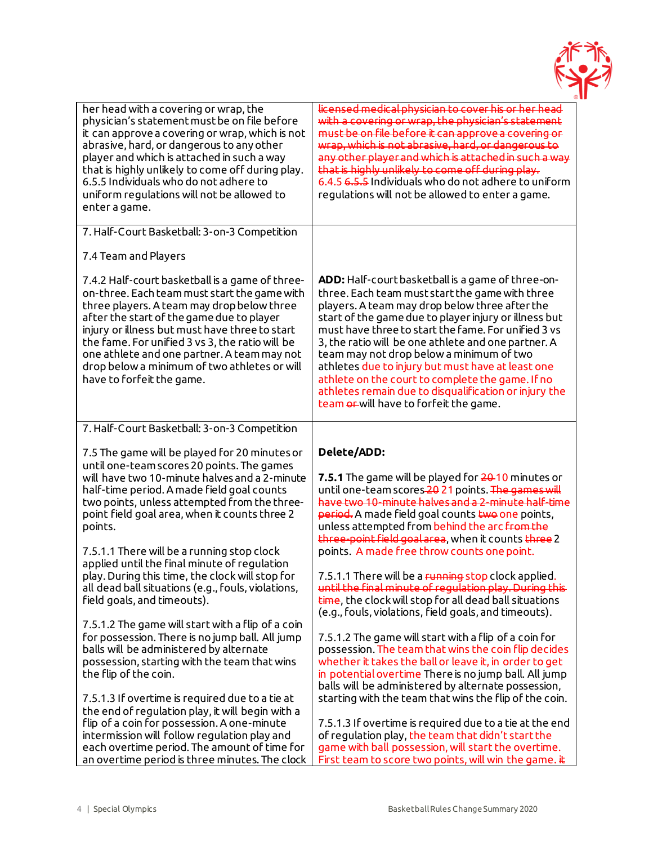

| her head with a covering or wrap, the<br>physician's statement must be on file before<br>it can approve a covering or wrap, which is not<br>abrasive, hard, or dangerous to any other<br>player and which is attached in such a way<br>that is highly unlikely to come off during play.<br>6.5.5 Individuals who do not adhere to<br>uniform regulations will not be allowed to<br>enter a game.                                                                                                                                                                                                                                                     | licensed medical physician to cover his or her head<br>with a covering or wrap, the physician's statement<br>must be on file before it can approve a covering or<br>wrap, which is not abrasive, hard, or dangerous to<br>any other player and which is attached in such a way<br>that is highly unlikely to come off during play.<br>6.4.5 6.5.5 Individuals who do not adhere to uniform<br>regulations will not be allowed to enter a game.                                                                                                                                                                                                                                              |
|------------------------------------------------------------------------------------------------------------------------------------------------------------------------------------------------------------------------------------------------------------------------------------------------------------------------------------------------------------------------------------------------------------------------------------------------------------------------------------------------------------------------------------------------------------------------------------------------------------------------------------------------------|---------------------------------------------------------------------------------------------------------------------------------------------------------------------------------------------------------------------------------------------------------------------------------------------------------------------------------------------------------------------------------------------------------------------------------------------------------------------------------------------------------------------------------------------------------------------------------------------------------------------------------------------------------------------------------------------|
| 7. Half-Court Basketball: 3-on-3 Competition                                                                                                                                                                                                                                                                                                                                                                                                                                                                                                                                                                                                         |                                                                                                                                                                                                                                                                                                                                                                                                                                                                                                                                                                                                                                                                                             |
| 7.4 Team and Players                                                                                                                                                                                                                                                                                                                                                                                                                                                                                                                                                                                                                                 |                                                                                                                                                                                                                                                                                                                                                                                                                                                                                                                                                                                                                                                                                             |
| 7.4.2 Half-court basketball is a game of three-<br>on-three. Each team must start the game with<br>three players. A team may drop below three<br>after the start of the game due to player<br>injury or illness but must have three to start<br>the fame. For unified 3 vs 3, the ratio will be<br>one athlete and one partner. A team may not<br>drop below a minimum of two athletes or will<br>have to forfeit the game.                                                                                                                                                                                                                          | ADD: Half-court basketball is a game of three-on-<br>three. Each team must start the game with three<br>players. A team may drop below three after the<br>start of the game due to player injury or illness but<br>must have three to start the fame. For unified 3 ys<br>3, the ratio will be one athlete and one partner. A<br>team may not drop below a minimum of two<br>athletes due to injury but must have at least one<br>athlete on the court to complete the game. If no<br>athletes remain due to disqualification or injury the<br>team or will have to forfeit the game.                                                                                                       |
| 7. Half-Court Basketball: 3-on-3 Competition                                                                                                                                                                                                                                                                                                                                                                                                                                                                                                                                                                                                         |                                                                                                                                                                                                                                                                                                                                                                                                                                                                                                                                                                                                                                                                                             |
| 7.5 The game will be played for 20 minutes or<br>until one-team scores 20 points. The games<br>will have two 10-minute halves and a 2-minute<br>half-time period. A made field goal counts<br>two points, unless attempted from the three-<br>point field goal area, when it counts three 2<br>points.<br>7.5.1.1 There will be a running stop clock<br>applied until the final minute of regulation<br>play. During this time, the clock will stop for<br>all dead ball situations (e.g., fouls, violations,<br>field goals, and timeouts).<br>7.5.1.2 The game will start with a flip of a coin<br>for possession. There is no jump ball. All jump | Delete/ADD:<br><b>7.5.1</b> The game will be played for 20-10 minutes or<br>until one-team scores-2021 points. The games will<br>have two 10-minute halves and a 2-minute half-time<br>period. A made field goal counts two one points,<br>unless attempted from behind the arc from the<br>three-point field goal area, when it counts three 2<br>points. A made free throw counts one point.<br>7.5.1.1 There will be a running stop clock applied.<br>until the final minute of regulation play. During this<br>time, the clock will stop for all dead ball situations<br>(e.g., fouls, violations, field goals, and timeouts).<br>7.5.1.2 The game will start with a flip of a coin for |
| balls will be administered by alternate<br>possession, starting with the team that wins<br>the flip of the coin.                                                                                                                                                                                                                                                                                                                                                                                                                                                                                                                                     | possession. The team that wins the coin flip decides<br>whether it takes the ball or leave it, in order to get<br>in potential overtime There is no jump ball. All jump<br>balls will be administered by alternate possession,                                                                                                                                                                                                                                                                                                                                                                                                                                                              |
| 7.5.1.3 If overtime is required due to a tie at<br>the end of regulation play, it will begin with a<br>flip of a coin for possession. A one-minute                                                                                                                                                                                                                                                                                                                                                                                                                                                                                                   | starting with the team that wins the flip of the coin.                                                                                                                                                                                                                                                                                                                                                                                                                                                                                                                                                                                                                                      |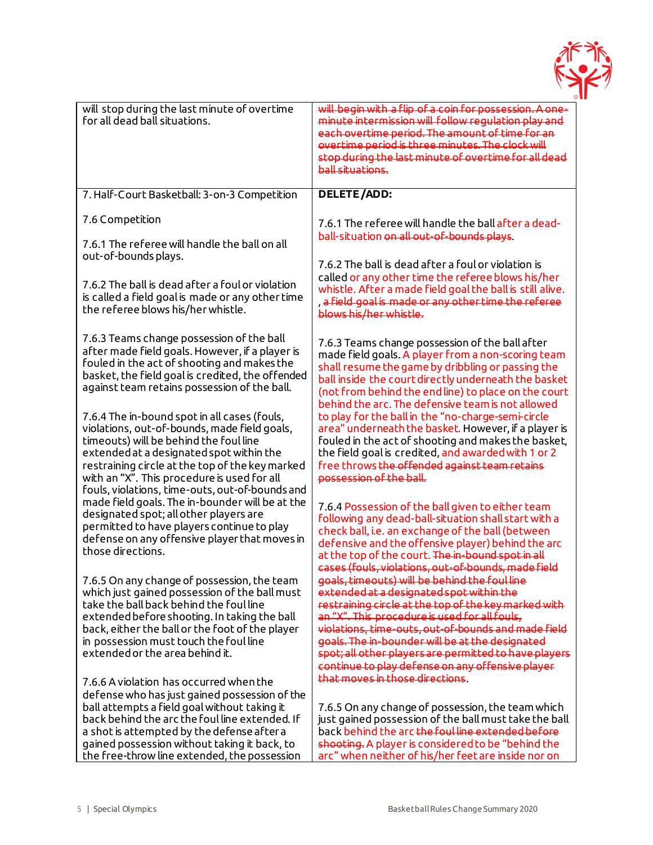

| will stop during the last minute of overtime<br>for all dead ball situations.                                                                                                                                                                                                                                                            | will begin with a flip of a coin for possession. A one-<br>minute intermission will follow regulation play and<br>each overtime period. The amount of time for an<br>overtime period is three minutes. The clock will<br>stop during the last minute of overtime for all dead<br>ball situations.                                                                                                                         |
|------------------------------------------------------------------------------------------------------------------------------------------------------------------------------------------------------------------------------------------------------------------------------------------------------------------------------------------|---------------------------------------------------------------------------------------------------------------------------------------------------------------------------------------------------------------------------------------------------------------------------------------------------------------------------------------------------------------------------------------------------------------------------|
| 7. Half-Court Basketball: 3-on-3 Competition                                                                                                                                                                                                                                                                                             | <b>DELETE/ADD:</b>                                                                                                                                                                                                                                                                                                                                                                                                        |
| 7.6 Competition<br>7.6.1 The referee will handle the ball on all                                                                                                                                                                                                                                                                         | 7.6.1 The referee will handle the ball after a dead-<br>ball-situation on all out-of-bounds plays.                                                                                                                                                                                                                                                                                                                        |
| out-of-bounds plays.                                                                                                                                                                                                                                                                                                                     | 7.6.2 The ball is dead after a foul or violation is                                                                                                                                                                                                                                                                                                                                                                       |
| 7.6.2 The ball is dead after a foul or violation<br>is called a field goal is made or any other time<br>the referee blows his/her whistle.                                                                                                                                                                                               | called or any other time the referee blows his/her<br>whistle. After a made field goal the ball is still alive.<br>, a field goal is made or any other time the referee<br>blows his/her whistle.                                                                                                                                                                                                                         |
| 7.6.3 Teams change possession of the ball<br>after made field goals. However, if a player is<br>fouled in the act of shooting and makes the<br>basket, the field goal is credited, the offended<br>against team retains possession of the ball.                                                                                          | 7.6.3 Teams change possession of the ball after<br>made field goals. A player from a non-scoring team<br>shall resume the game by dribbling or passing the<br>ball inside the court directly underneath the basket<br>(not from behind the end line) to place on the court                                                                                                                                                |
| 7.6.4 The in-bound spot in all cases (fouls,<br>violations, out-of-bounds, made field goals,<br>timeouts) will be behind the foul line<br>extended at a designated spot within the<br>restraining circle at the top of the key marked<br>with an "X". This procedure is used for all                                                     | behind the arc. The defensive team is not allowed<br>to play for the ball in the "no-charge-semi-circle<br>area" underneath the basket. However, if a player is<br>fouled in the act of shooting and makes the basket,<br>the field goal is credited, and awarded with 1 or 2<br>free throws the offended against team retains<br>possession of the ball.                                                                 |
| fouls, violations, time-outs, out-of-bounds and<br>made field goals. The in-bounder will be at the<br>designated spot; all other players are<br>permitted to have players continue to play<br>defense on any offensive player that moves in<br>those directions.                                                                         | 7.6.4 Possession of the ball given to either team<br>following any dead-ball-situation shall start with a<br>check ball, i.e. an exchange of the ball (between<br>defensive and the offensive player) behind the arc<br>at the top of the court. The in-bound spot in all<br>cases (fouls, violations, out-of-bounds, made field                                                                                          |
| 7.6.5 On any change of possession, the team<br>which just gained possession of the ball must<br>take the ball back behind the foul line<br>extended before shooting. In taking the ball<br>back, either the ball or the foot of the player<br>in possession must touch the foul line<br>extended or the area behind it.                  | goals, timeouts) will be behind the foul line<br>extended at a designated spot within the<br>restraining circle at the top of the key marked with<br>an "X". This procedure is used for all fouls,<br>violations, time-outs, out-of-bounds and made field<br>goals. The in-bounder will be at the designated<br>spot; all other players are permitted to have players<br>continue to play defense on any offensive player |
| 7.6.6 A violation has occurred when the<br>defense who has just gained possession of the<br>ball attempts a field goal without taking it<br>back behind the arc the foul line extended. If<br>a shot is attempted by the defense after a<br>gained possession without taking it back, to<br>the free-throw line extended, the possession | that moves in those directions.<br>7.6.5 On any change of possession, the team which<br>just gained possession of the ball must take the ball<br>back behind the arc the foul line extended before<br>shooting. A player is considered to be "behind the<br>arc" when neither of his/her feet are inside nor on                                                                                                           |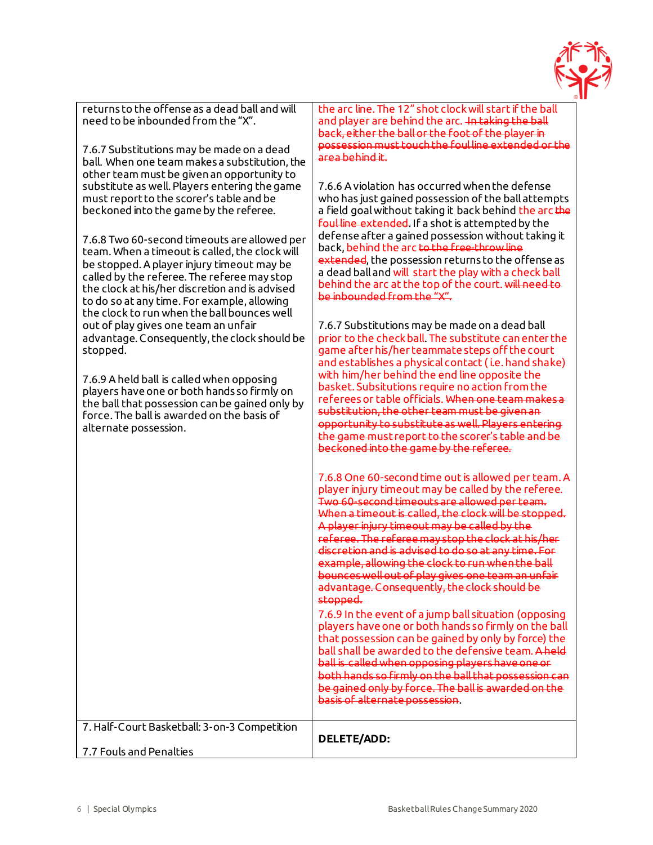

returns to the offense as a dead ball and will need to be inbounded from the "X".

7.6.7 Substitutions may be made on a dead ball. When one team makes a substitution, the other team must be given an opportunity to substitute as well. Players entering the game must report to the scorer's table and be beckoned into the game by the referee.

7.6.8 Two 60-second timeouts are allowed per team. When a timeout is called, the clock will be stopped. A player injury timeout may be called by the referee. The referee may stop the clock at his/her discretion and is advised to do so at any time. For example, allowing the clock to run when the ball bounces well out of play gives one team an unfair advantage. Consequently, the clock should be stopped.

7.6.9 A held ball is called when opposing players have one or both hands so firmly on the ball that possession can be gained only by force. The ball is awarded on the basis of alternate possession.

the arc line. The 12" shot clock will start if the ball and player are behind the arc. In taking the ball back, either the ball or the foot of the player in possession must touch the foul line extended or the area behind it.

7.6.6 A violation has occurred when the defense who has just gained possession of the ball attempts a field goal without taking it back behind the arc the foul line extended. If a shot is attempted by the defense after a gained possession without taking it back, behind the arc to the free-throw line extended, the possession returns to the offense as a dead ball and will start the play with a check ball behind the arc at the top of the court. will need to be inbounded from the "X".

7.6.7 Substitutions may be made on a dead ball prior to the check ball. The substitute can enter the game after his/her teammate steps off the court and establishes a physical contact ( i.e. hand shake) with him/her behind the end line opposite the basket. Subsitutions require no action from the referees or table officials. When one team makes a substitution, the other team must be given an opportunity to substitute as well. Players entering the game must report to the scorer's table and be beckoned into the game by the referee.

7.6.8 One 60-second time out is allowed per team. A player injury timeout may be called by the referee. Two 60-second timeouts are allowed per team. When a timeout is called, the clock will be stopped. A player injury timeout may be called by the referee. The referee may stop the clock at his/her discretion and is advised to do so at any time. For example, allowing the clock to run when the ball bounces well out of play gives one team an unfair advantage. Consequently, the clock should be stopped.

7.6.9 In the event of a jump ball situation (opposing players have one or both hands so firmly on the ball that possession can be gained by only by force) the ball shall be awarded to the defensive team. A held ball is called when opposing players have one or both hands so firmly on the ball that possession can be gained only by force. The ball is awarded on the basis of alternate possession.

|                                              | basis of alternate possession. |
|----------------------------------------------|--------------------------------|
| 7. Half-Court Basketball: 3-on-3 Competition | <b>DELETE/ADD:</b>             |
| 7.7 Fouls and Penalties                      |                                |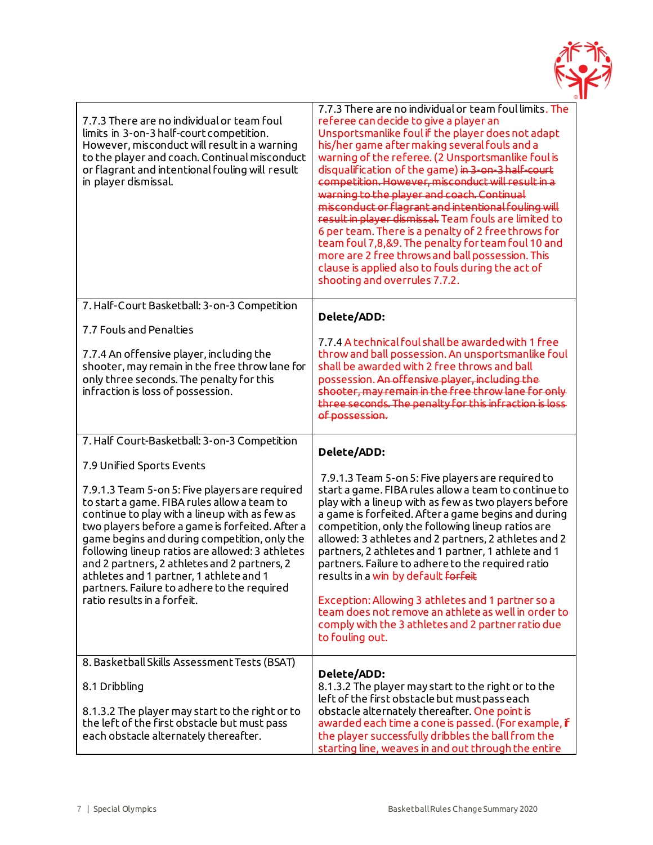

| 7.7.3 There are no individual or team foul<br>limits in 3-on-3 half-court competition.<br>However, misconduct will result in a warning<br>to the player and coach. Continual misconduct<br>or flagrant and intentional fouling will result<br>in player dismissal.                                                                                                                                                                                                                                         | 7.7.3 There are no individual or team foul limits. The<br>referee can decide to give a player an<br>Unsportsmanlike foul if the player does not adapt<br>his/her game after making several fouls and a<br>warning of the referee. (2 Unsportsmanlike foul is<br>disqualification of the game) in 3-on-3 half-court<br>competition. However, misconduct will result in a<br>warning to the player and coach. Continual<br>misconduct or flagrant and intentional fouling will<br>result in player dismissal. Team fouls are limited to<br>6 per team. There is a penalty of 2 free throws for<br>team foul 7,8,&9. The penalty for team foul 10 and<br>more are 2 free throws and ball possession. This<br>clause is applied also to fouls during the act of<br>shooting and overrules 7.7.2. |
|------------------------------------------------------------------------------------------------------------------------------------------------------------------------------------------------------------------------------------------------------------------------------------------------------------------------------------------------------------------------------------------------------------------------------------------------------------------------------------------------------------|----------------------------------------------------------------------------------------------------------------------------------------------------------------------------------------------------------------------------------------------------------------------------------------------------------------------------------------------------------------------------------------------------------------------------------------------------------------------------------------------------------------------------------------------------------------------------------------------------------------------------------------------------------------------------------------------------------------------------------------------------------------------------------------------|
| 7. Half-Court Basketball: 3-on-3 Competition                                                                                                                                                                                                                                                                                                                                                                                                                                                               |                                                                                                                                                                                                                                                                                                                                                                                                                                                                                                                                                                                                                                                                                                                                                                                              |
| 7.7 Fouls and Penalties<br>7.7.4 An offensive player, including the<br>shooter, may remain in the free throw lane for<br>only three seconds. The penalty for this<br>infraction is loss of possession.                                                                                                                                                                                                                                                                                                     | Delete/ADD:<br>7.7.4 A technical foul shall be awarded with 1 free<br>throw and ball possession. An unsportsmanlike foul<br>shall be awarded with 2 free throws and ball<br>possession. An offensive player, including the<br>shooter, may remain in the free throw lane for only<br>three seconds. The penalty for this infraction is loss<br>of possession.                                                                                                                                                                                                                                                                                                                                                                                                                                |
| 7. Half Court-Basketball: 3-on-3 Competition                                                                                                                                                                                                                                                                                                                                                                                                                                                               |                                                                                                                                                                                                                                                                                                                                                                                                                                                                                                                                                                                                                                                                                                                                                                                              |
| 7.9 Unified Sports Events<br>7.9.1.3 Team 5-on 5: Five players are required<br>to start a game. FIBA rules allow a team to<br>continue to play with a lineup with as few as<br>two players before a game is forfeited. After a<br>game begins and during competition, only the<br>following lineup ratios are allowed: 3 athletes<br>and 2 partners, 2 athletes and 2 partners, 2<br>athletes and 1 partner, 1 athlete and 1<br>partners. Failure to adhere to the required<br>ratio results in a forfeit. | Delete/ADD:<br>7.9.1.3 Team 5-on 5: Five players are required to<br>start a game. FIBA rules allow a team to continue to<br>play with a lineup with as few as two players before<br>a game is forfeited. After a game begins and during<br>competition, only the following lineup ratios are<br>allowed: 3 athletes and 2 partners, 2 athletes and 2<br>partners, 2 athletes and 1 partner, 1 athlete and 1<br>partners. Failure to adhere to the required ratio<br>results in a win by default <del>forfeit</del><br>Exception: Allowing 3 athletes and 1 partner so a<br>team does not remove an athlete as well in order to<br>comply with the 3 athletes and 2 partner ratio due<br>to fouling out.                                                                                      |
| 8. Basketball Skills Assessment Tests (BSAT)                                                                                                                                                                                                                                                                                                                                                                                                                                                               |                                                                                                                                                                                                                                                                                                                                                                                                                                                                                                                                                                                                                                                                                                                                                                                              |
| 8.1 Dribbling<br>8.1.3.2 The player may start to the right or to<br>the left of the first obstacle but must pass<br>each obstacle alternately thereafter.                                                                                                                                                                                                                                                                                                                                                  | Delete/ADD:<br>8.1.3.2 The player may start to the right or to the<br>left of the first obstacle but must pass each<br>obstacle alternately thereafter. One point is<br>awarded each time a cone is passed. (For example, if<br>the player successfully dribbles the ball from the<br>starting line, weaves in and out through the entire                                                                                                                                                                                                                                                                                                                                                                                                                                                    |